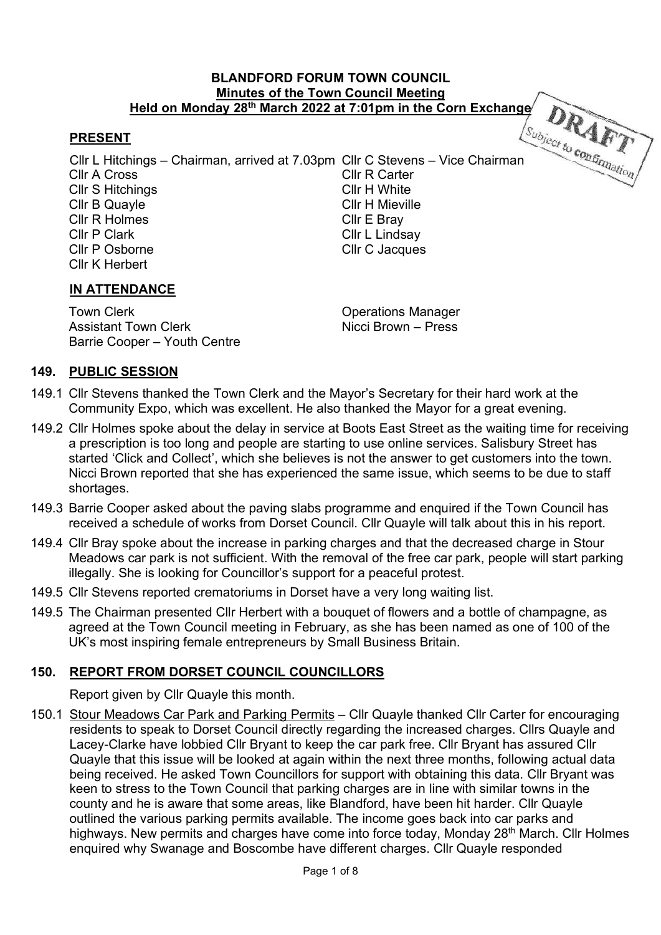#### BLANDFORD FORUM TOWN COUNCIL Minutes of the Town Council Meeting Held on Monday 28th March 2022 at 7:01pm in the Corn Exchange

### PRESENT

Cllr L Hitchings – Chairman, arrived at 7.03pm Cllr C Stevens – Vice Chairman Cllr A Cross Cllr R Carter Cllr S Hitchings **Cllr H** White Cllr B Quayle Cllr H Mieville Cllr R Holmes Cllr E Bray Cllr P Clark Cllr L Lindsay<br>Cllr P Osborne Cllr C Jacques Cllr C Jacques Cllr K Herbert

### IN ATTENDANCE

Town Clerk **Town Clerk** Clerk Clerk Clerk Clerk Clerk Clerk Clerk Clerk Clerk Clerk Clerk Clerk Clerk Clerk Cler<br>
Assistant Town Clerk Clerk Clerk Clerk Clerk Clerk Clerk Clerk Clerk Clerk Clerk Clerk Clerk Clerk Clerk Cle Assistant Town Clerk Barrie Cooper – Youth Centre

#### 149. PUBLIC SESSION

- 149.1 Cllr Stevens thanked the Town Clerk and the Mayor's Secretary for their hard work at the Community Expo, which was excellent. He also thanked the Mayor for a great evening.
- 149.2 Cllr Holmes spoke about the delay in service at Boots East Street as the waiting time for receiving a prescription is too long and people are starting to use online services. Salisbury Street has started 'Click and Collect', which she believes is not the answer to get customers into the town. Nicci Brown reported that she has experienced the same issue, which seems to be due to staff shortages.
- 149.3 Barrie Cooper asked about the paving slabs programme and enquired if the Town Council has received a schedule of works from Dorset Council. Cllr Quayle will talk about this in his report.
- 149.4 Cllr Bray spoke about the increase in parking charges and that the decreased charge in Stour Meadows car park is not sufficient. With the removal of the free car park, people will start parking illegally. She is looking for Councillor's support for a peaceful protest.
- 149.5 Cllr Stevens reported crematoriums in Dorset have a very long waiting list.
- 149.5 The Chairman presented Cllr Herbert with a bouquet of flowers and a bottle of champagne, as agreed at the Town Council meeting in February, as she has been named as one of 100 of the UK's most inspiring female entrepreneurs by Small Business Britain.

### 150. REPORT FROM DORSET COUNCIL COUNCILLORS

Report given by Cllr Quayle this month.

150.1 Stour Meadows Car Park and Parking Permits – Cllr Quayle thanked Cllr Carter for encouraging residents to speak to Dorset Council directly regarding the increased charges. Cllrs Quayle and Lacey-Clarke have lobbied Cllr Bryant to keep the car park free. Cllr Bryant has assured Cllr Quayle that this issue will be looked at again within the next three months, following actual data being received. He asked Town Councillors for support with obtaining this data. Cllr Bryant was keen to stress to the Town Council that parking charges are in line with similar towns in the county and he is aware that some areas, like Blandford, have been hit harder. Cllr Quayle outlined the various parking permits available. The income goes back into car parks and highways. New permits and charges have come into force today, Monday 28<sup>th</sup> March. Cllr Holmes enquired why Swanage and Boscombe have different charges. Cllr Quayle responded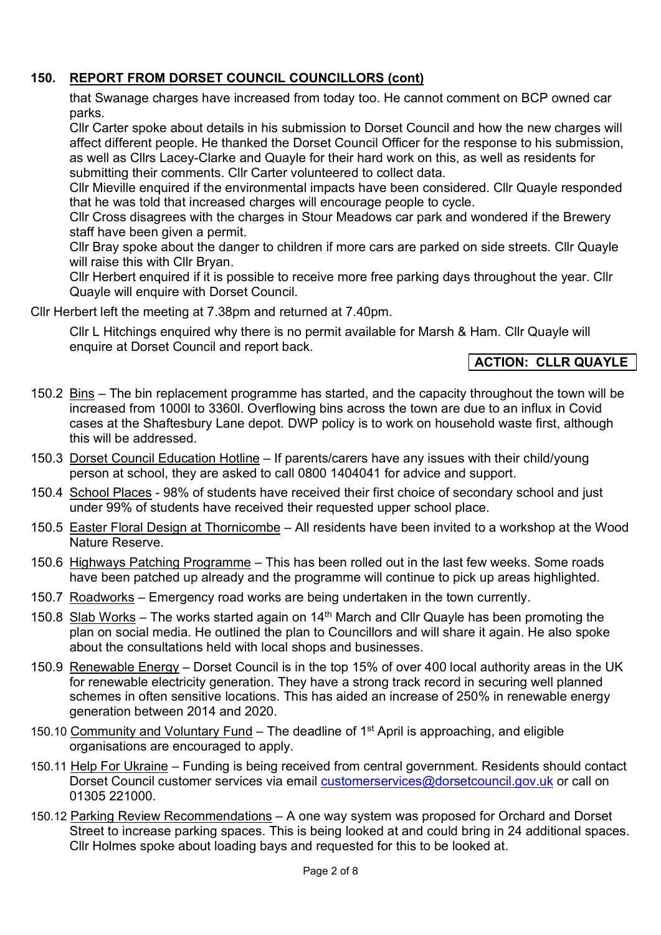## 150. REPORT FROM DORSET COUNCIL COUNCILLORS (cont)

 that Swanage charges have increased from today too. He cannot comment on BCP owned car parks.

 Cllr Carter spoke about details in his submission to Dorset Council and how the new charges will affect different people. He thanked the Dorset Council Officer for the response to his submission, as well as Cllrs Lacey-Clarke and Quayle for their hard work on this, as well as residents for submitting their comments. Cllr Carter volunteered to collect data.

 Cllr Mieville enquired if the environmental impacts have been considered. Cllr Quayle responded that he was told that increased charges will encourage people to cycle.

 Cllr Cross disagrees with the charges in Stour Meadows car park and wondered if the Brewery staff have been given a permit.

 Cllr Bray spoke about the danger to children if more cars are parked on side streets. Cllr Quayle will raise this with Cllr Brvan.

 Cllr Herbert enquired if it is possible to receive more free parking days throughout the year. Cllr Quayle will enquire with Dorset Council.

Cllr Herbert left the meeting at 7.38pm and returned at 7.40pm.

 Cllr L Hitchings enquired why there is no permit available for Marsh & Ham. Cllr Quayle will enquire at Dorset Council and report back.

## ACTION: CLLR QUAYLE

- 150.2 Bins The bin replacement programme has started, and the capacity throughout the town will be increased from 1000l to 3360l. Overflowing bins across the town are due to an influx in Covid cases at the Shaftesbury Lane depot. DWP policy is to work on household waste first, although this will be addressed.
- 150.3 Dorset Council Education Hotline If parents/carers have any issues with their child/young person at school, they are asked to call 0800 1404041 for advice and support.
- 150.4 School Places 98% of students have received their first choice of secondary school and just under 99% of students have received their requested upper school place.
- 150.5 Easter Floral Design at Thornicombe All residents have been invited to a workshop at the Wood Nature Reserve.
- 150.6 Highways Patching Programme This has been rolled out in the last few weeks. Some roads have been patched up already and the programme will continue to pick up areas highlighted.
- 150.7 Roadworks Emergency road works are being undertaken in the town currently.
- 150.8 Slab Works The works started again on  $14<sup>th</sup>$  March and Cllr Quayle has been promoting the plan on social media. He outlined the plan to Councillors and will share it again. He also spoke about the consultations held with local shops and businesses.
- 150.9 Renewable Energy Dorset Council is in the top 15% of over 400 local authority areas in the UK for renewable electricity generation. They have a strong track record in securing well planned schemes in often sensitive locations. This has aided an increase of 250% in renewable energy generation between 2014 and 2020.
- 150.10 Community and Voluntary Fund The deadline of 1<sup>st</sup> April is approaching, and eligible organisations are encouraged to apply.
- 150.11 Help For Ukraine Funding is being received from central government. Residents should contact Dorset Council customer services via email customerservices@dorsetcouncil.gov.uk or call on 01305 221000.
- 150.12 Parking Review Recommendations A one way system was proposed for Orchard and Dorset Street to increase parking spaces. This is being looked at and could bring in 24 additional spaces. Cllr Holmes spoke about loading bays and requested for this to be looked at.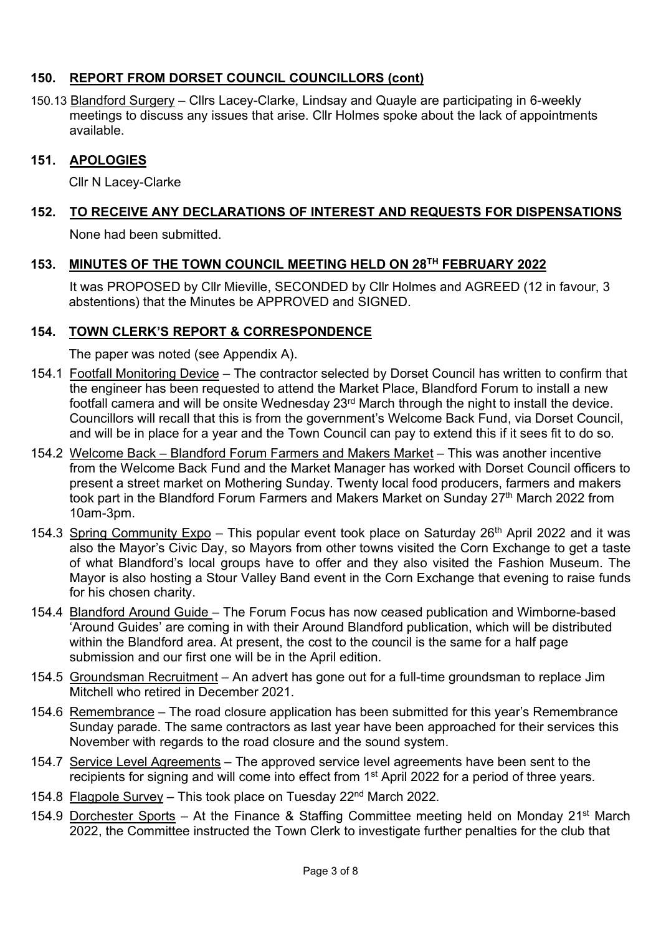## 150. REPORT FROM DORSET COUNCIL COUNCILLORS (cont)

150.13 Blandford Surgery – Cllrs Lacey-Clarke, Lindsay and Quayle are participating in 6-weekly meetings to discuss any issues that arise. Cllr Holmes spoke about the lack of appointments available.

### 151. APOLOGIES

Cllr N Lacey-Clarke

# 152. TO RECEIVE ANY DECLARATIONS OF INTEREST AND REQUESTS FOR DISPENSATIONS

None had been submitted.

### 153. MINUTES OF THE TOWN COUNCIL MEETING HELD ON 28TH FEBRUARY 2022

 It was PROPOSED by Cllr Mieville, SECONDED by Cllr Holmes and AGREED (12 in favour, 3 abstentions) that the Minutes be APPROVED and SIGNED.

### 154. TOWN CLERK'S REPORT & CORRESPONDENCE

The paper was noted (see Appendix A).

- 154.1 Footfall Monitoring Device The contractor selected by Dorset Council has written to confirm that the engineer has been requested to attend the Market Place, Blandford Forum to install a new footfall camera and will be onsite Wednesday 23rd March through the night to install the device. Councillors will recall that this is from the government's Welcome Back Fund, via Dorset Council, and will be in place for a year and the Town Council can pay to extend this if it sees fit to do so.
- 154.2 Welcome Back Blandford Forum Farmers and Makers Market This was another incentive from the Welcome Back Fund and the Market Manager has worked with Dorset Council officers to present a street market on Mothering Sunday. Twenty local food producers, farmers and makers took part in the Blandford Forum Farmers and Makers Market on Sunday 27<sup>th</sup> March 2022 from 10am-3pm.
- 154.3 Spring Community Expo This popular event took place on Saturday 26<sup>th</sup> April 2022 and it was also the Mayor's Civic Day, so Mayors from other towns visited the Corn Exchange to get a taste of what Blandford's local groups have to offer and they also visited the Fashion Museum. The Mayor is also hosting a Stour Valley Band event in the Corn Exchange that evening to raise funds for his chosen charity.
- 154.4 Blandford Around Guide The Forum Focus has now ceased publication and Wimborne-based 'Around Guides' are coming in with their Around Blandford publication, which will be distributed within the Blandford area. At present, the cost to the council is the same for a half page submission and our first one will be in the April edition.
- 154.5 Groundsman Recruitment An advert has gone out for a full-time groundsman to replace Jim Mitchell who retired in December 2021.
- 154.6 Remembrance The road closure application has been submitted for this year's Remembrance Sunday parade. The same contractors as last year have been approached for their services this November with regards to the road closure and the sound system.
- 154.7 Service Level Agreements The approved service level agreements have been sent to the recipients for signing and will come into effect from 1<sup>st</sup> April 2022 for a period of three years.
- 154.8 Flagpole Survey This took place on Tuesday 22nd March 2022.
- 154.9 Dorchester Sports At the Finance & Staffing Committee meeting held on Monday 21<sup>st</sup> March 2022, the Committee instructed the Town Clerk to investigate further penalties for the club that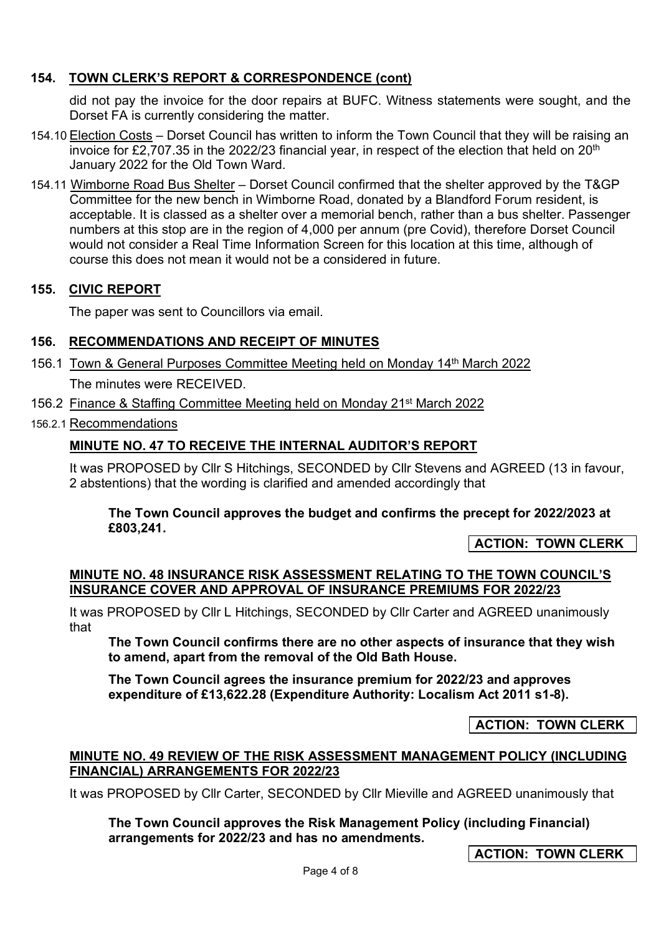## 154. TOWN CLERK'S REPORT & CORRESPONDENCE (cont)

did not pay the invoice for the door repairs at BUFC. Witness statements were sought, and the Dorset FA is currently considering the matter.

- 154.10 Election Costs Dorset Council has written to inform the Town Council that they will be raising an invoice for £2,707.35 in the 2022/23 financial year, in respect of the election that held on 20<sup>th</sup> January 2022 for the Old Town Ward.
- 154.11 Wimborne Road Bus Shelter Dorset Council confirmed that the shelter approved by the T&GP Committee for the new bench in Wimborne Road, donated by a Blandford Forum resident, is acceptable. It is classed as a shelter over a memorial bench, rather than a bus shelter. Passenger numbers at this stop are in the region of 4,000 per annum (pre Covid), therefore Dorset Council would not consider a Real Time Information Screen for this location at this time, although of course this does not mean it would not be a considered in future.

## 155. CIVIC REPORT

The paper was sent to Councillors via email.

## 156. RECOMMENDATIONS AND RECEIPT OF MINUTES

- 156.1 Town & General Purposes Committee Meeting held on Monday 14th March 2022 The minutes were RECEIVED.
- 156.2 Finance & Staffing Committee Meeting held on Monday 21st March 2022
- 156.2.1 Recommendations

## MINUTE NO. 47 TO RECEIVE THE INTERNAL AUDITOR'S REPORT

It was PROPOSED by Cllr S Hitchings, SECONDED by Cllr Stevens and AGREED (13 in favour, 2 abstentions) that the wording is clarified and amended accordingly that

### The Town Council approves the budget and confirms the precept for 2022/2023 at £803,241.

ACTION: TOWN CLERK

### MINUTE NO. 48 INSURANCE RISK ASSESSMENT RELATING TO THE TOWN COUNCIL'S INSURANCE COVER AND APPROVAL OF INSURANCE PREMIUMS FOR 2022/23

It was PROPOSED by Cllr L Hitchings, SECONDED by Cllr Carter and AGREED unanimously that

The Town Council confirms there are no other aspects of insurance that they wish to amend, apart from the removal of the Old Bath House.

The Town Council agrees the insurance premium for 2022/23 and approves expenditure of £13,622.28 (Expenditure Authority: Localism Act 2011 s1-8).

ACTION: TOWN CLERK

### MINUTE NO. 49 REVIEW OF THE RISK ASSESSMENT MANAGEMENT POLICY (INCLUDING FINANCIAL) ARRANGEMENTS FOR 2022/23

It was PROPOSED by Cllr Carter, SECONDED by Cllr Mieville and AGREED unanimously that

The Town Council approves the Risk Management Policy (including Financial) arrangements for 2022/23 and has no amendments.

ACTION: TOWN CLERK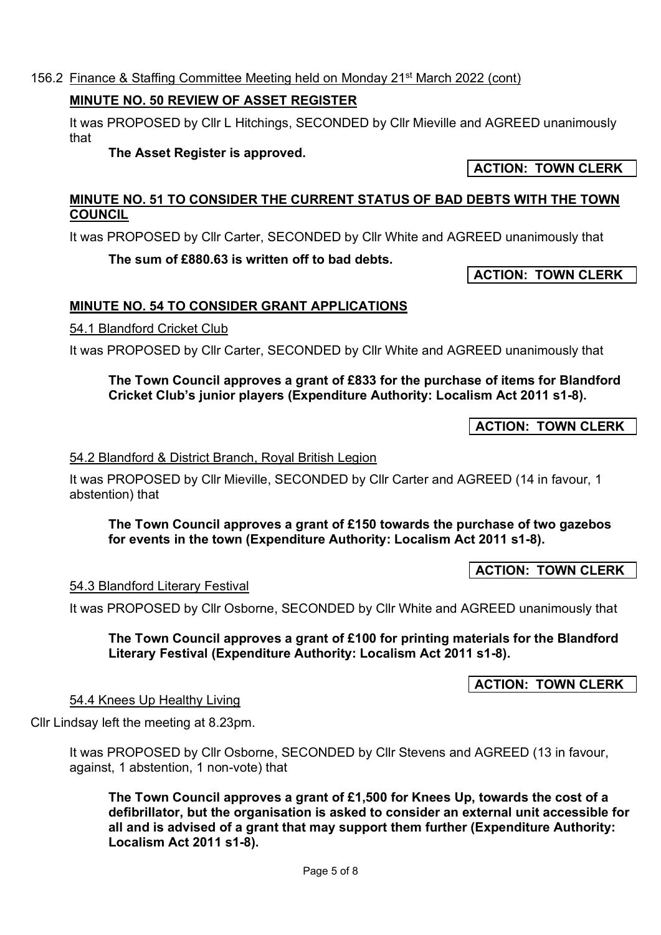Page 5 of 8

### 156.2 Finance & Staffing Committee Meeting held on Monday 21st March 2022 (cont)

## MINUTE NO. 50 REVIEW OF ASSET REGISTER

It was PROPOSED by Cllr L Hitchings, SECONDED by Cllr Mieville and AGREED unanimously that

## The Asset Register is approved.

## MINUTE NO. 51 TO CONSIDER THE CURRENT STATUS OF BAD DEBTS WITH THE TOWN **COUNCIL**

It was PROPOSED by Cllr Carter, SECONDED by Cllr White and AGREED unanimously that

# The sum of £880.63 is written off to bad debts.

ACTION: TOWN CLERK

ACTION: TOWN CLERK

# MINUTE NO. 54 TO CONSIDER GRANT APPLICATIONS

# 54.1 Blandford Cricket Club

It was PROPOSED by Cllr Carter, SECONDED by Cllr White and AGREED unanimously that

## The Town Council approves a grant of £833 for the purchase of items for Blandford Cricket Club's junior players (Expenditure Authority: Localism Act 2011 s1-8).

ACTION: TOWN CLERK

# 54.2 Blandford & District Branch, Royal British Legion

It was PROPOSED by Cllr Mieville, SECONDED by Cllr Carter and AGREED (14 in favour, 1 abstention) that

## The Town Council approves a grant of £150 towards the purchase of two gazebos for events in the town (Expenditure Authority: Localism Act 2011 s1-8).

ACTION: TOWN CLERK

# 54.3 Blandford Literary Festival

It was PROPOSED by Cllr Osborne, SECONDED by Cllr White and AGREED unanimously that

## The Town Council approves a grant of £100 for printing materials for the Blandford Literary Festival (Expenditure Authority: Localism Act 2011 s1-8).

ACTION: TOWN CLERK

Cllr Lindsay left the meeting at 8.23pm.

54.4 Knees Up Healthy Living

It was PROPOSED by Cllr Osborne, SECONDED by Cllr Stevens and AGREED (13 in favour, against, 1 abstention, 1 non-vote) that

The Town Council approves a grant of £1,500 for Knees Up, towards the cost of a defibrillator, but the organisation is asked to consider an external unit accessible for all and is advised of a grant that may support them further (Expenditure Authority: Localism Act 2011 s1-8).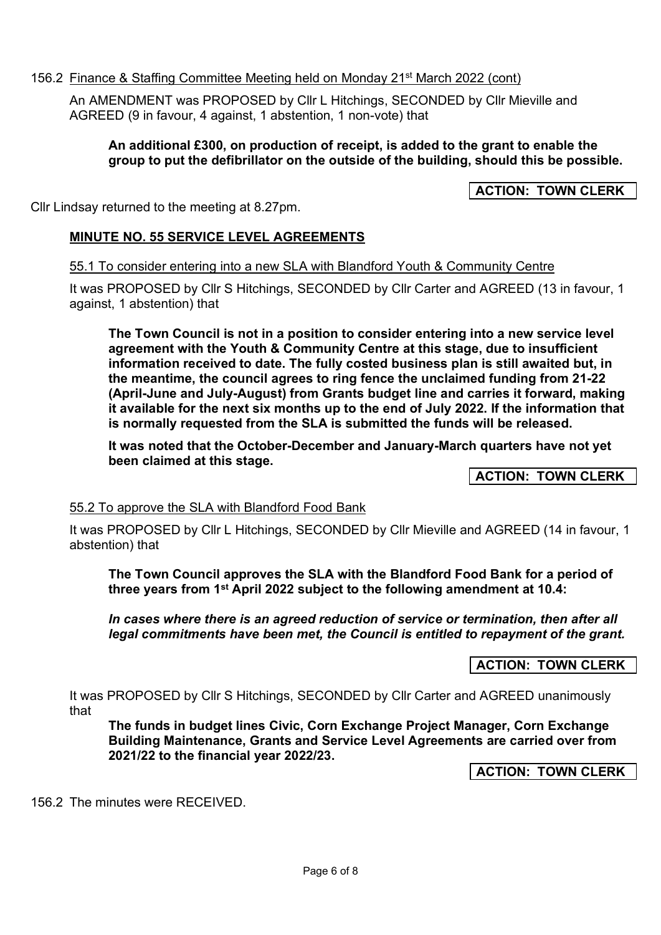### 156.2 Finance & Staffing Committee Meeting held on Monday 21st March 2022 (cont)

An AMENDMENT was PROPOSED by Cllr L Hitchings, SECONDED by Cllr Mieville and AGREED (9 in favour, 4 against, 1 abstention, 1 non-vote) that

### An additional £300, on production of receipt, is added to the grant to enable the group to put the defibrillator on the outside of the building, should this be possible.

## ACTION: TOWN CLERK

Cllr Lindsay returned to the meeting at 8.27pm.

### MINUTE NO. 55 SERVICE LEVEL AGREEMENTS

55.1 To consider entering into a new SLA with Blandford Youth & Community Centre

It was PROPOSED by Cllr S Hitchings, SECONDED by Cllr Carter and AGREED (13 in favour, 1 against, 1 abstention) that

The Town Council is not in a position to consider entering into a new service level agreement with the Youth & Community Centre at this stage, due to insufficient information received to date. The fully costed business plan is still awaited but, in the meantime, the council agrees to ring fence the unclaimed funding from 21-22 (April-June and July-August) from Grants budget line and carries it forward, making it available for the next six months up to the end of July 2022. If the information that is normally requested from the SLA is submitted the funds will be released.

It was noted that the October-December and January-March quarters have not yet been claimed at this stage.

ACTION: TOWN CLERK

### 55.2 To approve the SLA with Blandford Food Bank

It was PROPOSED by Cllr L Hitchings, SECONDED by Cllr Mieville and AGREED (14 in favour, 1 abstention) that

The Town Council approves the SLA with the Blandford Food Bank for a period of three years from 1<sup>st</sup> April 2022 subject to the following amendment at 10.4:

In cases where there is an agreed reduction of service or termination, then after all legal commitments have been met, the Council is entitled to repayment of the grant.

**ACTION: TOWN CLERK** 

It was PROPOSED by Cllr S Hitchings, SECONDED by Cllr Carter and AGREED unanimously that

The funds in budget lines Civic, Corn Exchange Project Manager, Corn Exchange Building Maintenance, Grants and Service Level Agreements are carried over from 2021/22 to the financial year 2022/23.

**ACTION: TOWN CLERK** 

156.2 The minutes were RECEIVED.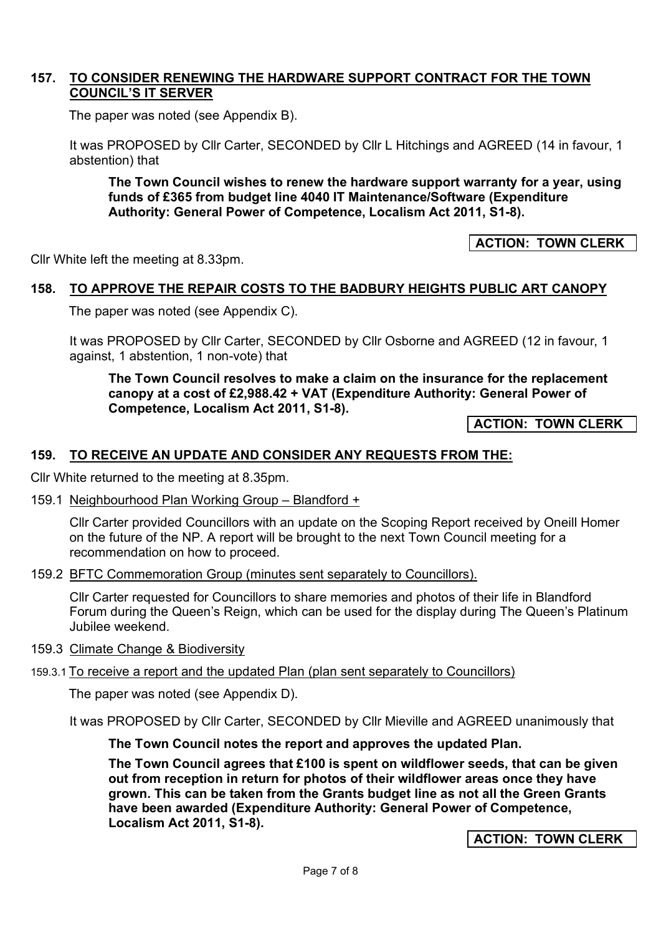### 157. TO CONSIDER RENEWING THE HARDWARE SUPPORT CONTRACT FOR THE TOWN COUNCIL'S IT SERVER

The paper was noted (see Appendix B).

It was PROPOSED by Cllr Carter, SECONDED by Cllr L Hitchings and AGREED (14 in favour, 1 abstention) that

The Town Council wishes to renew the hardware support warranty for a year, using funds of £365 from budget line 4040 IT Maintenance/Software (Expenditure Authority: General Power of Competence, Localism Act 2011, S1-8).

ACTION: TOWN CLERK

Cllr White left the meeting at 8.33pm.

### 158. TO APPROVE THE REPAIR COSTS TO THE BADBURY HEIGHTS PUBLIC ART CANOPY

The paper was noted (see Appendix C).

It was PROPOSED by Cllr Carter, SECONDED by Cllr Osborne and AGREED (12 in favour, 1 against, 1 abstention, 1 non-vote) that

The Town Council resolves to make a claim on the insurance for the replacement canopy at a cost of £2,988.42 + VAT (Expenditure Authority: General Power of Competence, Localism Act 2011, S1-8).

ACTION: TOWN CLERK

### 159. TO RECEIVE AN UPDATE AND CONSIDER ANY REQUESTS FROM THE:

Cllr White returned to the meeting at 8.35pm.

159.1 Neighbourhood Plan Working Group – Blandford +

Cllr Carter provided Councillors with an update on the Scoping Report received by Oneill Homer on the future of the NP. A report will be brought to the next Town Council meeting for a recommendation on how to proceed.

159.2 BFTC Commemoration Group (minutes sent separately to Councillors).

Cllr Carter requested for Councillors to share memories and photos of their life in Blandford Forum during the Queen's Reign, which can be used for the display during The Queen's Platinum Jubilee weekend.

- 159.3 Climate Change & Biodiversity
- 159.3.1 To receive a report and the updated Plan (plan sent separately to Councillors)

The paper was noted (see Appendix D).

It was PROPOSED by Cllr Carter, SECONDED by Cllr Mieville and AGREED unanimously that

The Town Council notes the report and approves the updated Plan.

The Town Council agrees that £100 is spent on wildflower seeds, that can be given out from reception in return for photos of their wildflower areas once they have grown. This can be taken from the Grants budget line as not all the Green Grants have been awarded (Expenditure Authority: General Power of Competence, Localism Act 2011, S1-8).

ACTION: TOWN CLERK